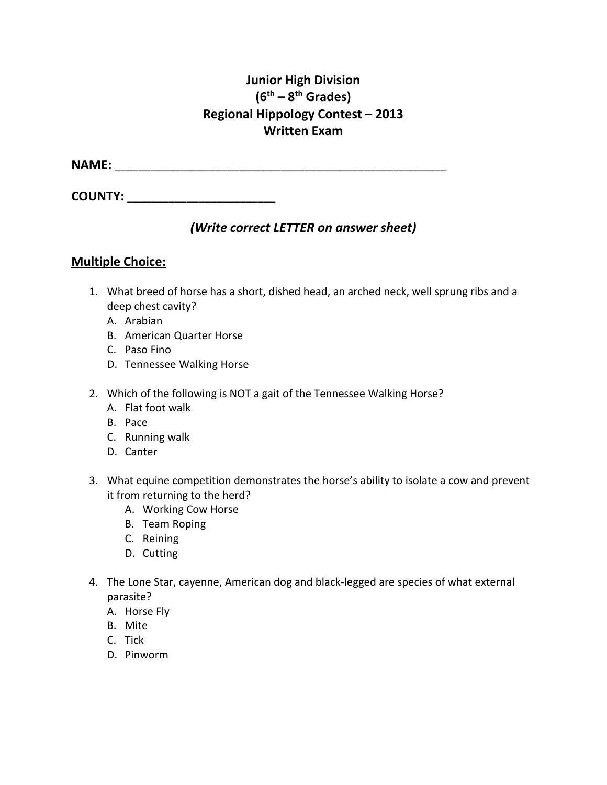# **Junior High Division (6th – 8th Grades) Regional Hippology Contest – 2013 Written Exam**

**NAME:** \_\_\_\_\_\_\_\_\_\_\_\_\_\_\_\_\_\_\_\_\_\_\_\_\_\_\_\_\_\_\_\_\_\_\_\_\_\_\_\_\_\_\_\_\_\_\_\_\_\_\_\_\_\_\_\_

**COUNTY:** \_\_\_\_\_\_\_\_\_\_\_\_\_\_\_\_\_\_\_\_\_\_\_\_\_

## *(Write correct LETTER on answer sheet)*

### **Multiple Choice:**

- 1. What breed of horse has a short, dished head, an arched neck, well sprung ribs and a deep chest cavity?
	- A. Arabian
	- B. American Quarter Horse
	- C. Paso Fino
	- D. Tennessee Walking Horse
- 2. Which of the following is NOT a gait of the Tennessee Walking Horse?
	- A. Flat foot walk
	- B. Pace
	- C. Running walk
	- D. Canter
- 3. What equine competition demonstrates the horse's ability to isolate a cow and prevent it from returning to the herd?
	- A. Working Cow Horse
	- B. Team Roping
	- C. Reining
	- D. Cutting
- 4. The Lone Star, cayenne, American dog and black-legged are species of what external parasite?
	- A. Horse Fly
	- B. Mite
	- C. Tick
	- D. Pinworm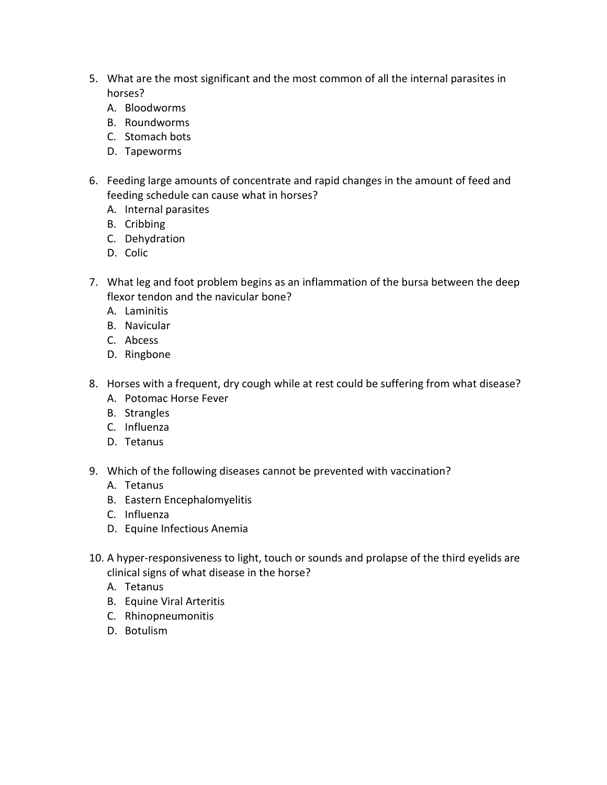- 5. What are the most significant and the most common of all the internal parasites in horses?
	- A. Bloodworms
	- B. Roundworms
	- C. Stomach bots
	- D. Tapeworms
- 6. Feeding large amounts of concentrate and rapid changes in the amount of feed and feeding schedule can cause what in horses?
	- A. Internal parasites
	- B. Cribbing
	- C. Dehydration
	- D. Colic
- 7. What leg and foot problem begins as an inflammation of the bursa between the deep flexor tendon and the navicular bone?
	- A. Laminitis
	- B. Navicular
	- C. Abcess
	- D. Ringbone
- 8. Horses with a frequent, dry cough while at rest could be suffering from what disease?
	- A. Potomac Horse Fever
	- B. Strangles
	- C. Influenza
	- D. Tetanus
- 9. Which of the following diseases cannot be prevented with vaccination?
	- A. Tetanus
	- B. Eastern Encephalomyelitis
	- C. Influenza
	- D. Equine Infectious Anemia
- 10. A hyper-responsiveness to light, touch or sounds and prolapse of the third eyelids are clinical signs of what disease in the horse?
	- A. Tetanus
	- B. Equine Viral Arteritis
	- C. Rhinopneumonitis
	- D. Botulism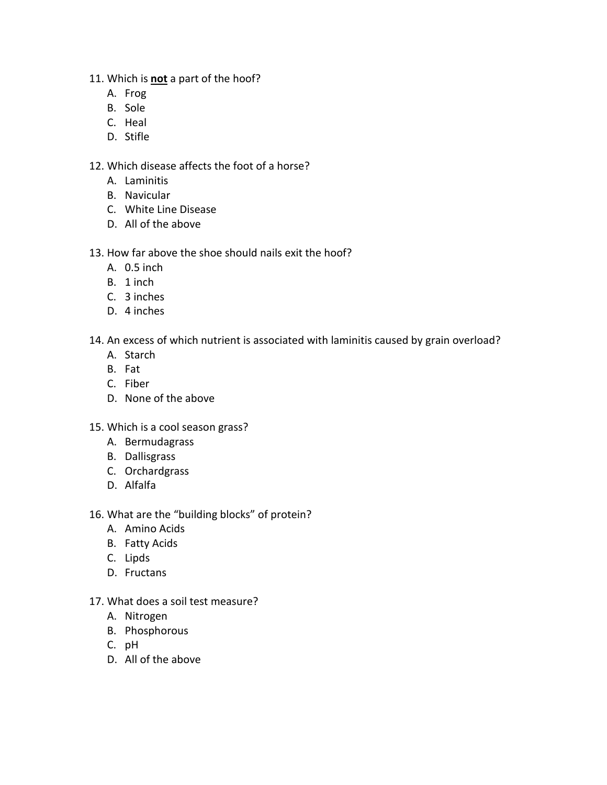- 11. Which is **not** a part of the hoof?
	- A. Frog
	- B. Sole
	- C. Heal
	- D. Stifle

#### 12. Which disease affects the foot of a horse?

- A. Laminitis
- B. Navicular
- C. White Line Disease
- D. All of the above

### 13. How far above the shoe should nails exit the hoof?

- A. 0.5 inch
- B. 1 inch
- C. 3 inches
- D. 4 inches

### 14. An excess of which nutrient is associated with laminitis caused by grain overload?

- A. Starch
- B. Fat
- C. Fiber
- D. None of the above
- 15. Which is a cool season grass?
	- A. Bermudagrass
	- B. Dallisgrass
	- C. Orchardgrass
	- D. Alfalfa

#### 16. What are the "building blocks" of protein?

- A. Amino Acids
- B. Fatty Acids
- C. Lipds
- D. Fructans
- 17. What does a soil test measure?
	- A. Nitrogen
	- B. Phosphorous
	- C. pH
	- D. All of the above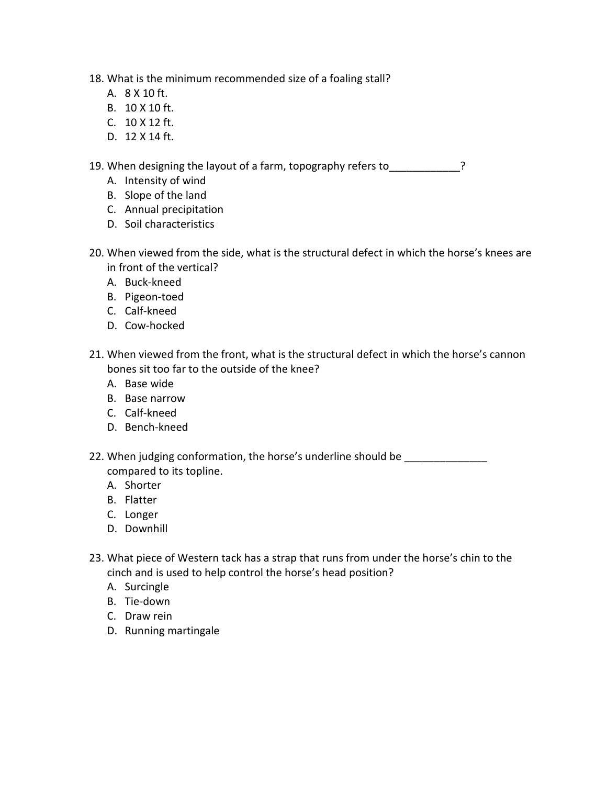- 18. What is the minimum recommended size of a foaling stall?
	- A. 8 X 10 ft.
	- B. 10 X 10 ft.
	- C. 10 X 12 ft.
	- D. 12 X 14 ft.

19. When designing the layout of a farm, topography refers to  $\overline{?}$ 

- A. Intensity of wind
- B. Slope of the land
- C. Annual precipitation
- D. Soil characteristics
- 20. When viewed from the side, what is the structural defect in which the horse's knees are in front of the vertical?
	- A. Buck-kneed
	- B. Pigeon-toed
	- C. Calf-kneed
	- D. Cow-hocked
- 21. When viewed from the front, what is the structural defect in which the horse's cannon bones sit too far to the outside of the knee?
	- A. Base wide
	- B. Base narrow
	- C. Calf-kneed
	- D. Bench-kneed
- 22. When judging conformation, the horse's underline should be \_\_\_\_\_\_\_\_\_\_\_\_\_\_\_\_\_ compared to its topline.
	- A. Shorter
	- B. Flatter
	- C. Longer
	- D. Downhill
- 23. What piece of Western tack has a strap that runs from under the horse's chin to the cinch and is used to help control the horse's head position?
	- A. Surcingle
	- B. Tie-down
	- C. Draw rein
	- D. Running martingale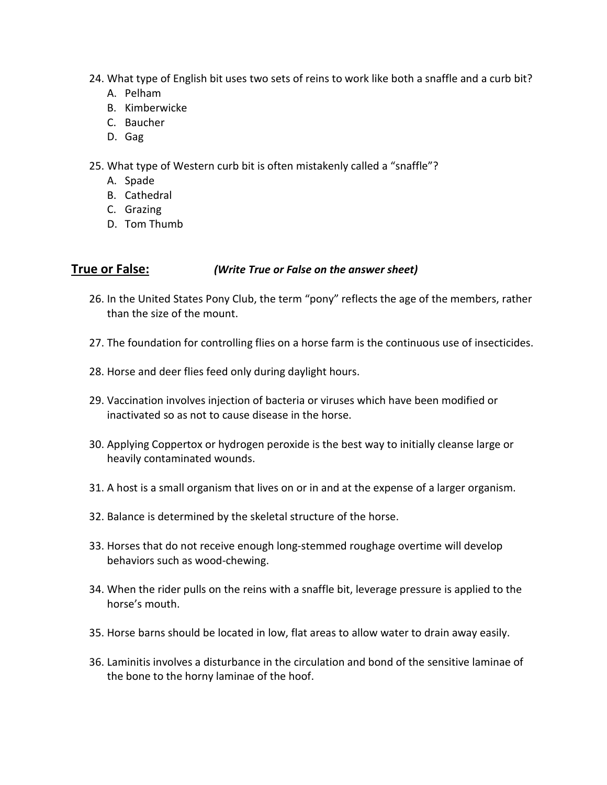- 24. What type of English bit uses two sets of reins to work like both a snaffle and a curb bit?
	- A. Pelham
	- B. Kimberwicke
	- C. Baucher
	- D. Gag
- 25. What type of Western curb bit is often mistakenly called a "snaffle"?
	- A. Spade
	- B. Cathedral
	- C. Grazing
	- D. Tom Thumb

### **True or False:** *(Write True or False on the answer sheet)*

- 26. In the United States Pony Club, the term "pony" reflects the age of the members, rather than the size of the mount.
- 27. The foundation for controlling flies on a horse farm is the continuous use of insecticides.
- 28. Horse and deer flies feed only during daylight hours.
- 29. Vaccination involves injection of bacteria or viruses which have been modified or inactivated so as not to cause disease in the horse.
- 30. Applying Coppertox or hydrogen peroxide is the best way to initially cleanse large or heavily contaminated wounds.
- 31. A host is a small organism that lives on or in and at the expense of a larger organism.
- 32. Balance is determined by the skeletal structure of the horse.
- 33. Horses that do not receive enough long-stemmed roughage overtime will develop behaviors such as wood-chewing.
- 34. When the rider pulls on the reins with a snaffle bit, leverage pressure is applied to the horse's mouth.
- 35. Horse barns should be located in low, flat areas to allow water to drain away easily.
- 36. Laminitis involves a disturbance in the circulation and bond of the sensitive laminae of the bone to the horny laminae of the hoof.